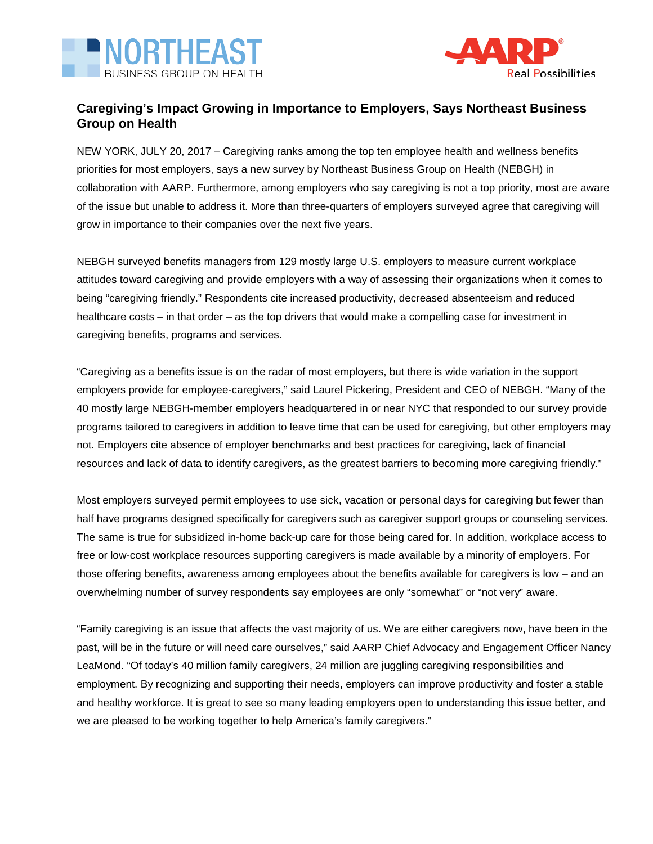



## **Caregiving's Impact Growing in Importance to Employers, Says Northeast Business Group on Health**

NEW YORK, JULY 20, 2017 – Caregiving ranks among the top ten employee health and wellness benefits priorities for most employers, says a new survey by Northeast Business Group on Health (NEBGH) in collaboration with AARP. Furthermore, among employers who say caregiving is not a top priority, most are aware of the issue but unable to address it. More than three-quarters of employers surveyed agree that caregiving will grow in importance to their companies over the next five years.

NEBGH surveyed benefits managers from 129 mostly large U.S. employers to measure current workplace attitudes toward caregiving and provide employers with a way of assessing their organizations when it comes to being "caregiving friendly." Respondents cite increased productivity, decreased absenteeism and reduced healthcare costs – in that order – as the top drivers that would make a compelling case for investment in caregiving benefits, programs and services.

"Caregiving as a benefits issue is on the radar of most employers, but there is wide variation in the support employers provide for employee-caregivers," said Laurel Pickering, President and CEO of NEBGH. "Many of the 40 mostly large NEBGH-member employers headquartered in or near NYC that responded to our survey provide programs tailored to caregivers in addition to leave time that can be used for caregiving, but other employers may not. Employers cite absence of employer benchmarks and best practices for caregiving, lack of financial resources and lack of data to identify caregivers, as the greatest barriers to becoming more caregiving friendly."

Most employers surveyed permit employees to use sick, vacation or personal days for caregiving but fewer than half have programs designed specifically for caregivers such as caregiver support groups or counseling services. The same is true for subsidized in-home back-up care for those being cared for. In addition, workplace access to free or low-cost workplace resources supporting caregivers is made available by a minority of employers. For those offering benefits, awareness among employees about the benefits available for caregivers is low – and an overwhelming number of survey respondents say employees are only "somewhat" or "not very" aware.

"Family caregiving is an issue that affects the vast majority of us. We are either caregivers now, have been in the past, will be in the future or will need care ourselves," said AARP Chief Advocacy and Engagement Officer Nancy LeaMond. "Of today's 40 million family caregivers, 24 million are juggling caregiving responsibilities and employment. By recognizing and supporting their needs, employers can improve productivity and foster a stable and healthy workforce. It is great to see so many leading employers open to understanding this issue better, and we are pleased to be working together to help America's family caregivers."